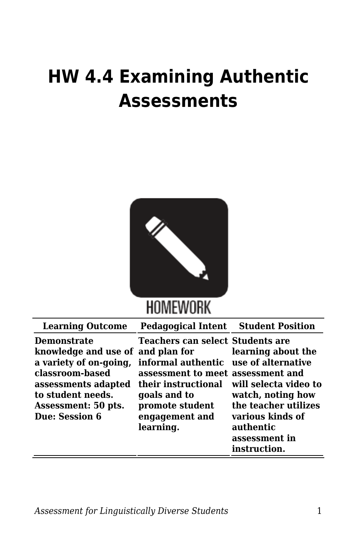## **HW 4.4 Examining Authentic Assessments**



## **HOMEWORK**

|                                                                                                                                                                                                                                                                                                                                                                                                                                                                                                                                                                        | <b>Pedagogical Intent Student Position</b><br><b>Learning Outcome</b> |
|------------------------------------------------------------------------------------------------------------------------------------------------------------------------------------------------------------------------------------------------------------------------------------------------------------------------------------------------------------------------------------------------------------------------------------------------------------------------------------------------------------------------------------------------------------------------|-----------------------------------------------------------------------|
| <b>Teachers can select Students are</b><br><b>Demonstrate</b><br>knowledge and use of and plan for<br>learning about the<br>a variety of on-going,<br>informal authentic use of alternative<br>classroom-based<br>assessment to meet assessment and<br>their instructional will select avideo to<br>assessments adapted<br>to student needs.<br>goals and to<br>watch, noting how<br>the teacher utilizes<br>promote student<br>Assessment: 50 pts.<br>Due: Session 6<br>various kinds of<br>engagement and<br>learning.<br>authentic<br>assessment in<br>instruction. |                                                                       |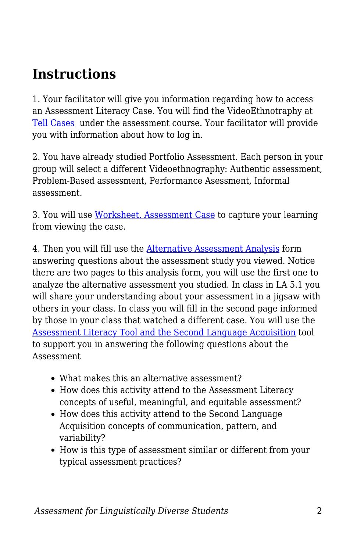## **Instructions**

1. Your facilitator will give you information regarding how to access an Assessment Literacy Case. You will find the VideoEthnotraphy at [Tell Cases](https://tellcases.byu.edu/) under the assessment course. Your facilitator will provide you with information about how to log in.

2. You have already studied Portfolio Assessment. Each person in your group will select a different Videoethnography: Authentic assessment, Problem-Based assessment, Performance Asessment, Informal assessment.

3. You will use [Worksheet. Assessment Case](https://byu.box.com/s/pt0d4c4l2ikzo0twee3hup7h0f2r6wl4) to capture your learning from viewing the case.

4. Then you will fill use the [Alternative Assessment Analysis](https://byu.box.com/s/7r3knxylywraeyxd8132rufc1b9woidk) form answering questions about the assessment study you viewed. Notice there are two pages to this analysis form, you will use the first one to analyze the alternative assessment you studied. In class in LA 5.1 you will share your understanding about your assessment in a jigsaw with others in your class. In class you will fill in the second page informed by those in your class that watched a different case. You will use the [Assessment Literacy Tool and the Second Language Acquisition](https://byu.box.com/s/m436ng8nzemzl4p6txrh67scrk3vplak) tool to support you in answering the following questions about the Assessment

- What makes this an alternative assessment?
- How does this activity attend to the Assessment Literacy concepts of useful, meaningful, and equitable assessment?
- How does this activity attend to the Second Language Acquisition concepts of communication, pattern, and variability?
- How is this type of assessment similar or different from your typical assessment practices?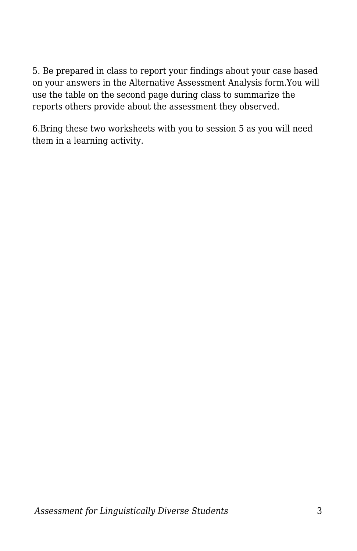5. Be prepared in class to report your findings about your case based on your answers in the Alternative Assessment Analysis form.You will use the table on the second page during class to summarize the reports others provide about the assessment they observed.

6.Bring these two worksheets with you to session 5 as you will need them in a learning activity.